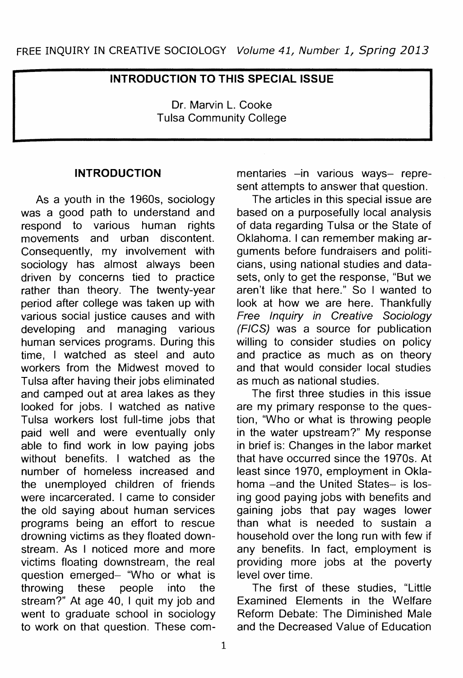## **INTRODUCTION TO THIS SPECIAL ISSUE**

Dr. Marvin L. Cooke Tulsa Community College

## **INTRODUCTION**

As a youth in the 1960s, sociology was a good path to understand and respond to various human rights movements and urban discontent. Consequently, my involvement with sociology has almost always been driven by concerns tied to practice rather than theory. The twenty-year period after college was taken up with various social justice causes and with developing and managing various human services programs. During this time. I watched as steel and auto workers from the Midwest moved to Tulsa after having their jobs eliminated and camped out at area lakes as they looked for jobs. I watched as native Tulsa workers lost full-time jobs that paid well and were eventually only able to find work in low paying jobs without benefits. I watched as the number of homeless increased and the unemployed children of friends were incarcerated. I came to consider the old saying about human services programs being an effort to rescue drowning victims as they floated downstream. As I noticed more and more victims floating downstream, the real question emerged- "Who or what is throwing these people into the stream?" At age 40, I quit my job and went to graduate school in sociology to work on that question. These commentaries -in various ways- represent attempts to answer that question.

The articles in this special issue are based on a purposefully local analysis of data regarding Tulsa or the State of Oklahoma. I can remember making arguments before fundraisers and politicians, using national studies and datasets, only to get the response, "But we aren't like that here." So I wanted to look at how we are here. Thankfully Free Inquiry in Creative Sociology (FICS) was a source for publication willing to consider studies on policy and practice as much as on theory and that would consider local studies as much as national studies.

The first three studies in this issue are my primary response to the question, "Who or what is throwing people in the water upstream?" My response in brief is: Changes in the labor market that have occurred since the 1970s. At least since 1970, employment in Oklahoma -and the United States- is losing good paying jobs with benefits and gaining jobs that pay wages lower than what is needed to sustain a household over the long run with few if any benefits. In fact, employment is providing more jobs at the poverty level over time.

The first of these studies, "Little Examined Elements in the Welfare Reform Debate: The Diminished Male and the Decreased Value of Education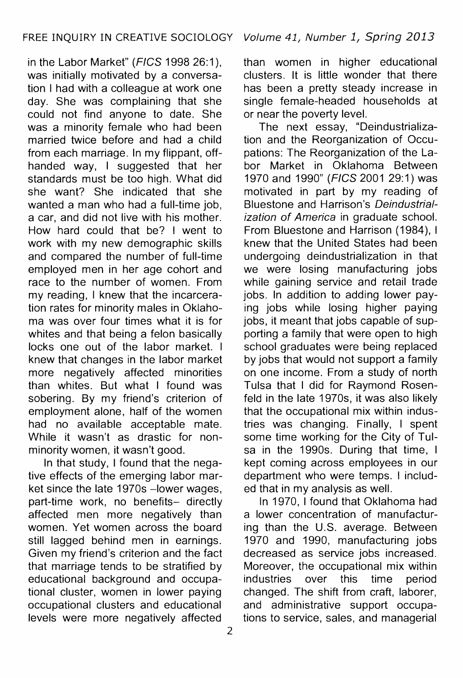in the Labor Market" (FICS 1998 26:1), was initially motivated by a conversation I had with a colleague at work one day. She was complaining that she could not find anyone to date. She was a minority female who had been married twice before and had a child from each marriage. In my flippant, offhanded way, I suggested that her standards must be too high. What did she want? She indicated that she wanted a man who had a full-time job. a car, and did not live with his mother. How hard could that be? I went to work with my new demographic skills and compared the number of full-time employed men in her age cohort and race to the number of women. From my reading, I knew that the incarceration rates for minority males in Oklahoma was over four times what it is for whites and that being a felon basically locks one out of the labor market. I knew that changes in the labor market more negatively affected minorities than whites. But what I found was sobering. By my friend's criterion of employment alone, half of the women had no available acceptable mate. While it wasn't as drastic for nonminority women, it wasn't good.

In that study, I found that the negative effects of the emerging labor market since the late 1970s -lower wages, part-time work, no benefits- directly affected men more negatively than women. Yet women across the board still lagged behind men in earnings. Given my friend's criterion and the fact that marriage tends to be stratified by educational background and occupational cluster, women in lower paying occupational clusters and educational levels were more negatively affected

than women in higher educational clusters. It is little wonder that there has been a pretty steady increase in single female-headed households at or near the poverty level.

The next essay, "Deindustrialization and the Reorganization of Occupations: The Reorganization of the Labor Market in Oklahoma Between 1970 and 1990" (FIGS 2001 29:1) was motivated in part by my reading of Bluestone and Harrison's Deindustrialization of America in graduate school. From Bluestone and Harrison (1984), I knew that the United States had been undergoing deindustrialization in that we were losing manufacturing jobs while gaining service and retail trade jobs. In addition to adding lower paying jobs while losing higher paying jobs, it meant that jobs capable of supporting a family that were open to high school graduates were being replaced by jobs that would not support a family on one income. From a study of north Tulsa that I did for Raymond Rosenfeld in the late 1970s, it was also likely that the occupational mix within industries was changing. Finally, I spent some time working for the City of Tulsa in the 1990s. During that time, I kept coming across employees in our department who were temps. I included that in my analysis as well.

In 1970, I found that Oklahoma had a lower concentration of manufacturing than the U.S. average. Between 1970 and 1990, manufacturing jobs decreased as service jobs increased. Moreover, the occupational mix within industries over this time period changed. The shift from craft, laborer, and administrative support occupations to service, sales, and managerial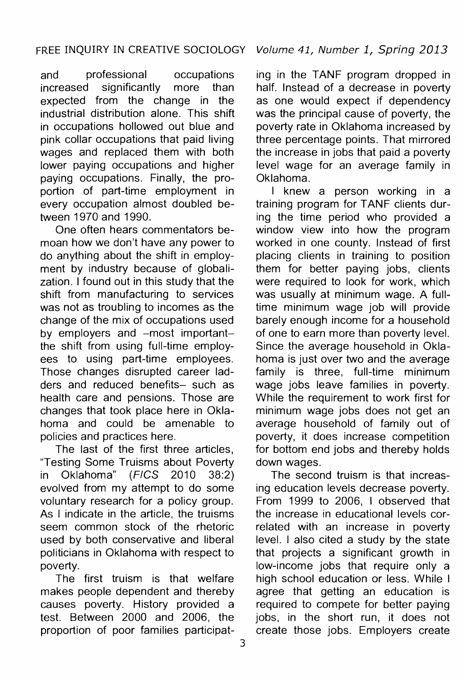and professional occupations increased significantly more than expected from the change in the industrial distribution alone. This shift in occupations hollowed out blue and pink collar occupations that paid living wages and replaced them with both lower paying occupations and higher paying occupations. Finally, the proportion of part-time employment in every occupation almost doubled between 1970 and 1990.

One often hears commentators bemoan how we don't have any power to do anything about the shift in employment by industry because of globalization. I found out in this study that the shift from manufacturing to services was not as troubling to incomes as the change of the mix of occupations used by employers and -most importantthe shift from using full-time employees to using part-time employees. Those changes disrupted career ladders and reduced benefits- such as health care and pensions. Those are changes that took place here in Oklahoma and could be amenable to policies and practices here.

The last of the first three articles, "Testing Some Truisms about Poverty in Oklahoma" (FIGS 2010 38:2) evolved from my attempt to do some voluntary research for a policy group. As I indicate in the article, the truisms seem common stock of the rhetoric used by both conservative and liberal politicians in Oklahoma with respect to poverty.

The first truism is that welfare makes people dependent and thereby causes poverty. History provided a test. Between 2000 and 2006, the proportion of poor families participating in the TANF program dropped in half. Instead of a decrease in poverty as one would expect if dependency was the principal cause of poverty, the poverty rate in Oklahoma increased by three percentage points. That mirrored the increase in jobs that paid a poverty level wage for an average family in Oklahoma.

I knew a person working in a training program for TANF clients during the time period who provided a window view into how the program worked in one county. Instead of first placing clients in training to position them for better paying jobs, clients were required to look for work, which was usually at minimum wage. A fulltime minimum wage job will provide barely enough income for a household of one to earn more than poverty level. Since the average household in Oklahoma is just over two and the average family is three, full-time minimum wage jobs leave families in poverty. While the requirement to work first for minimum wage jobs does not get an average household of family out of poverty, it does increase competition for bottom end jobs and thereby holds down wages.

The second truism is that increasing education levels decrease poverty. From 1999 to 2006, I observed that the increase in educational levels correlated with an increase in poverty level. I also cited a study by the state that projects a significant growth in low-income jobs that require only a high school education or less. While I agree that getting an education is required to compete for better paying jobs, in the short run, it does not create those jobs. Employers create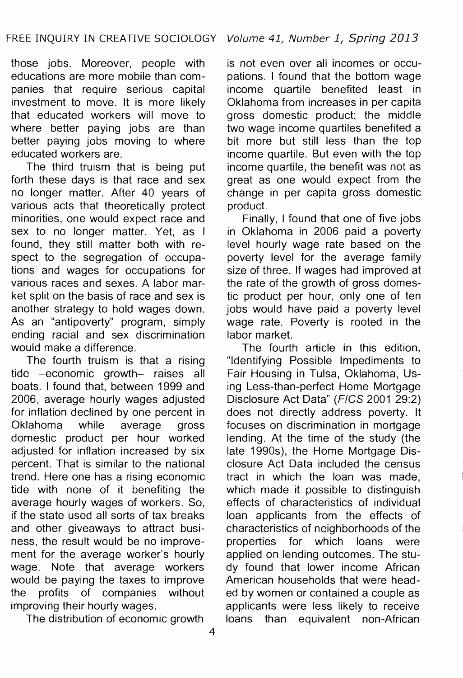those jobs. Moreover, people with educations are more mobile than companies that require serious capital investment to move. It is more likely that educated workers will move to where better paying jobs are than better paying jobs moving to where educated workers are.

The third truism that is being put forth these days is that race and sex no longer matter. After 40 years of various acts that theoretically protect minorities, one would expect race and sex to no longer matter. Yet, as I found, they still matter both with respect to the segregation of occupations and wages for occupations for various races and sexes. A labor market split on the basis of race and sex is another strategy to hold wages down. As an "antipoverty" program, simply ending racial and sex discrimination would make a difference.

The fourth truism is that a rising tide -economic growth- raises all boats. I found that, between 1999 and 2006, average hourly wages adjusted for inflation declined by one percent in Oklahoma while average gross domestic product per hour worked adjusted for inflation increased by six percent. That is similar to the national trend. Here one has a rising economic tide with none of it benefiting the average hourly wages of workers. So, if the state used all sorts of tax breaks and other giveaways to attract business, the result would be no improvement for the average worker's hourly wage. Note that average workers would be paying the taxes to improve the profits of companies without improving their hourly wages.

The distribution of economic growth

is not even over all incomes or occupations. I found that the bottom wage income quartile benefited least in Oklahoma from increases in per capita gross domestic product; the middle two wage income quartiles benefited a bit more but still less than the top income quartile. But even with the top income quartile, the benefit was not as great as one would expect from the change in per capita gross domestic product.

Finally, I found that one of five jobs in Oklahoma in 2006 paid a poverty level hourly wage rate based on the poverty level for the average family size of three. If wages had improved at the rate of the growth of gross domestic product per hour, only one of ten jobs would have paid a poverty level wage rate. Poverty is rooted in the labor market.

The fourth article in this edition, "Identifying Possible Impediments to Fair Housing in Tulsa, Oklahoma, Using Less-than-perfect Home Mortgage Disclosure Act Data" (FIGS 2001 29:2) does not directly address poverty. It focuses on discrimination in mortgage lending. At the time of the study (the late 1990s), the Home Mortgage Disclosure Act Data included the census tract in which the loan was made, which made it possible to distinguish effects of characteristics of individual loan applicants from the effects of characteristics of neighborhoods of the properties for which loans were applied on lending outcomes. The study found that lower income African American households that were headed by women or contained a couple as applicants were less likely to receive loans than equivalent non-African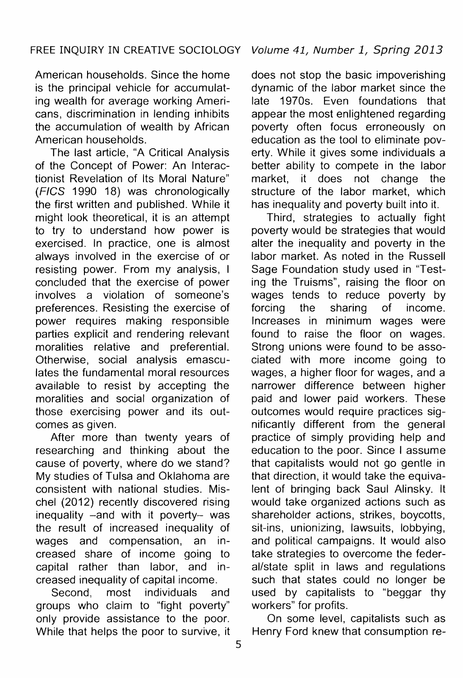American households. Since the home is the principal vehicle for accumulating wealth for average working Americans, discrimination in lending inhibits the accumulation of wealth by African American households.

The last article, "A Critical Analysis of the Concept of Power: An lnteractionist Revelation of Its Moral Nature" (FIGS 1990 18) was chronologically the first written and published. While it might look theoretical, it is an attempt to try to understand how power is exercised. In practice, one is almost always involved in the exercise of or resisting power. From my analysis, I concluded that the exercise of power involves a violation of someone's preferences. Resisting the exercise of power requires making responsible parties explicit and rendering relevant moralities relative and preferential. Otherwise, social analysis emasculates the fundamental moral resources available to resist by accepting the moralities and social organization of those exercising power and its outcomes as given.

After more than twenty years of researching and thinking about the cause of poverty, where do we stand? My studies of Tulsa and Oklahoma are consistent with national studies. Mischel (2012) recently discovered rising inequality -and with it poverty- was the result of increased inequality of wages and compensation, an increased share of income going to capital rather than labor, and increased inequality of capital income.

Second, most individuals and groups who claim to "fight poverty" only provide assistance to the poor. While that helps the poor to survive, it does not stop the basic impoverishing dynamic of the labor market since the late 1970s. Even foundations that appear the most enlightened regarding poverty often focus erroneously on education as the tool to eliminate poverty. While it gives some individuals a better ability to compete in the labor market, it does not change the structure of the labor market, which has inequality and poverty built into it.

Third, strategies to actually fight poverty would be strategies that would alter the inequality and poverty in the labor market. As noted in the Russell Sage Foundation study used in 'Testing the Truisms", raising the floor on wages tends to reduce poverty by forcing the sharing of income. Increases in minimum wages were found to raise the floor on wages. Strong unions were found to be associated with more income going to wages, a higher floor for wages, and a narrower difference between higher paid and lower paid workers. These outcomes would require practices significantly different from the general practice of simply providing help and education to the poor. Since I assume that capitalists would not go gentle in that direction, it would take the equivalent of bringing back Saul Alinsky. It would take organized actions such as shareholder actions, strikes, boycotts, sit-ins, unionizing, lawsuits, lobbying, and political campaigns. It would also take strategies to overcome the federal/state split in laws and regulations such that states could no longer be used by capitalists to "beggar thy workers" for profits.

On some level, capitalists such as Henry Ford knew that consumption re-